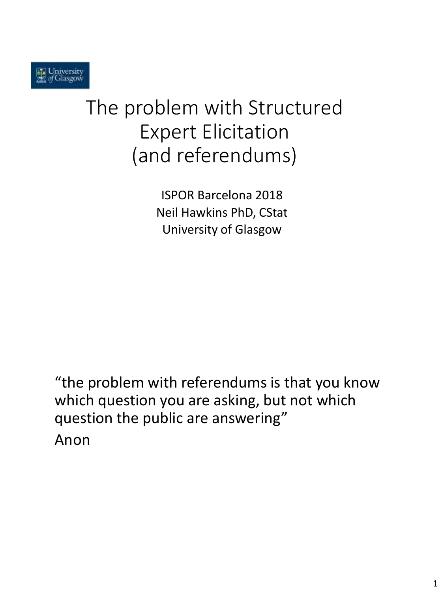# The problem with Structured Expert Elicitation (and referendums)

ISPOR Barcelona 2018 Neil Hawkins PhD, CStat University of Glasgow

"the problem with referendums is that you know which question you are asking, but not which question the public are answering" Anon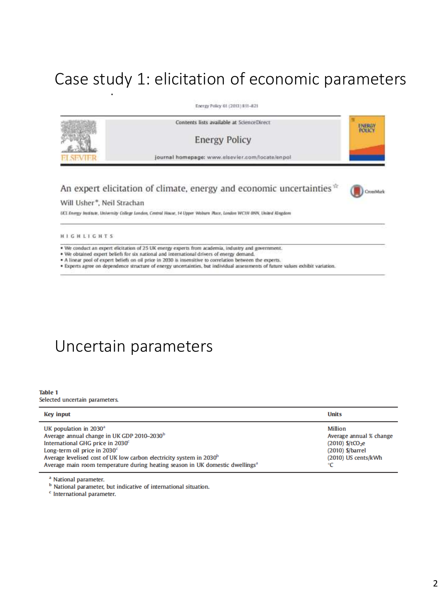# Case study 1: elicitation of economic parameters

Energy Policy 61 (2013) 811-821



### An expert elicitation of climate, energy and economic uncertainties<sup>\*</sup>

#### Will Usher\*, Neil Strachan

parameters

UCL Energy Institute, University College London, Central House, 14 Upper Waburn Place, London WCTH 0NN, United Kingdom

**HIGHLIGHTS** 

. We conduct an expert elicitation of 25 UK energy experts from academia, industry and government.

- . We obtained expert beliefs for six national and international drivers of energy demand.
- . A linear pool of expert beliefs on oil price in 2030 is insensitive to correlation between the experts.

· Experts agree on dependence structure of energy uncertainties, but individual assessments of future values exhibit variation.

## Uncertain parameters

#### **Table 1**

Selected uncertain parameters.

| <b>Key input</b>                                                                                                                                                                                                                                                                                                                                                | <b>Units</b>                                                                                                      |
|-----------------------------------------------------------------------------------------------------------------------------------------------------------------------------------------------------------------------------------------------------------------------------------------------------------------------------------------------------------------|-------------------------------------------------------------------------------------------------------------------|
| UK population in $2030^a$<br>Average annual change in UK GDP 2010-2030 <sup>b</sup><br>International GHG price in 2030 <sup>c</sup><br>Long-term oil price in 2030 <sup>c</sup><br>Average levelised cost of UK low carbon electricity system in 2030 <sup>b</sup><br>Average main room temperature during heating season in UK domestic dwellings <sup>a</sup> | Million<br>Average annual % change<br>$(2010)$ \$/tCO <sub>2</sub> e<br>$(2010)$ \$/barrel<br>(2010) US cents/kWh |

<sup>a</sup> National parameter.

<sup>b</sup> National parameter, but indicative of international situation.

<sup>c</sup> International parameter.

CrossMark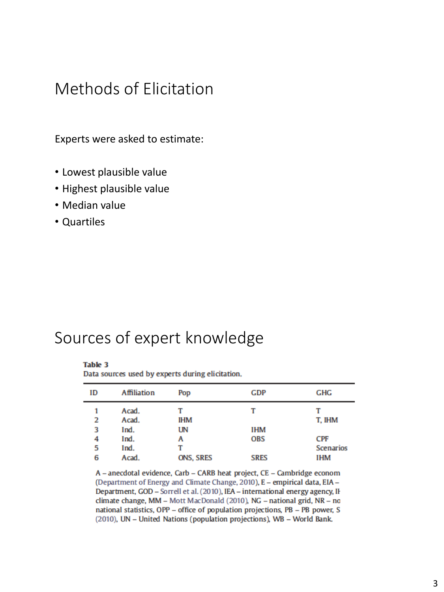## Methods of Elicitation

Experts were asked to estimate:

- Lowest plausible value
- Highest plausible value
- Median value
- Quartiles

### Sources of expert knowledge

### **Table 3**

Data sources used by experts during elicitation.

| ID | Affiliation | Pop              | GDP         | GHG              |
|----|-------------|------------------|-------------|------------------|
| 1  | Acad.       |                  | т           |                  |
| 2  | Acad.       | <b>IHM</b>       |             | T, IHM           |
| 3  | Ind.        | UN               | IHM         |                  |
| 4  | Ind.        | А                | <b>OBS</b>  | CPF              |
| 5  | Ind.        |                  |             | <b>Scenarios</b> |
| 6  | Acad.       | <b>ONS, SRES</b> | <b>SRES</b> | IHM              |

A - anecdotal evidence, Carb - CARB heat project, CE - Cambridge econom (Department of Energy and Climate Change, 2010), E - empirical data, EIA -Department, GOD - Sorrell et al. (2010), IEA - international energy agency, II climate change, MM - Mott MacDonald (2010), NG - national grid, NR - no national statistics, OPP - office of population projections, PB - PB power, S (2010), UN - United Nations (population projections), WB - World Bank.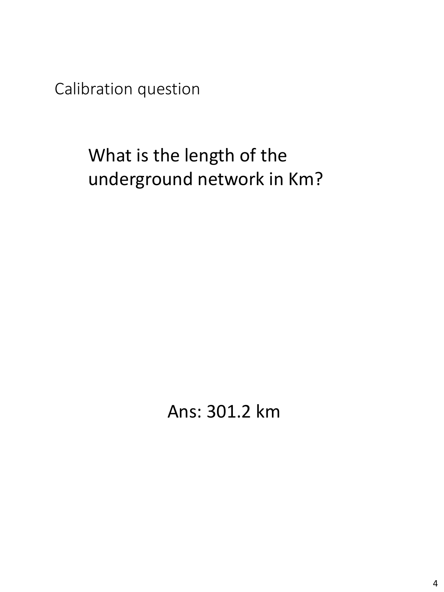Calibration question

# What is the length of the underground network in Km?

Ans: 301.2 km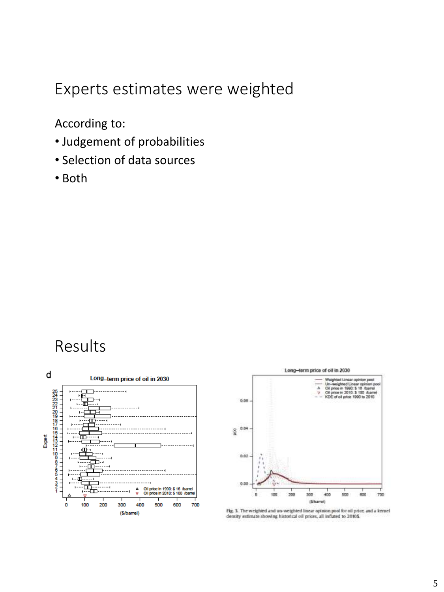## Experts estimates were weighted

According to:

- Judgement of probabilities
- Selection of data sources
- Both

### Results





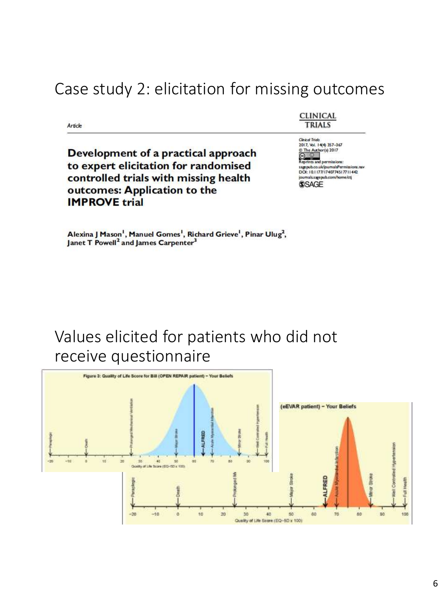# Case study 2: elicitation for missing outcomes

Article

Development of a practical approach to expert elicitation for randomised controlled trials with missing health outcomes: Application to the **IMPROVE trial** 

**CLINICAL TRIALS** 

Clinical Trials<br>2017, Vol. 14(4) 357-367  $\frac{1}{20}$  The Author(s) 2017 its and permi agenuh co uk/inumalsPermissions ray DOI: 10.1177/1740774517711442 journals.sagepub.com/home/ctj **SSAGE** 

Alexina J Mason<sup>1</sup>, Manuel Gomes<sup>1</sup>, Richard Grieve<sup>1</sup>, Pinar Ulug<sup>2</sup>, Janet T Powell<sup>2</sup> and James Carpenter<sup>3</sup>

# Values elicited for patients who did not receive questionnaire

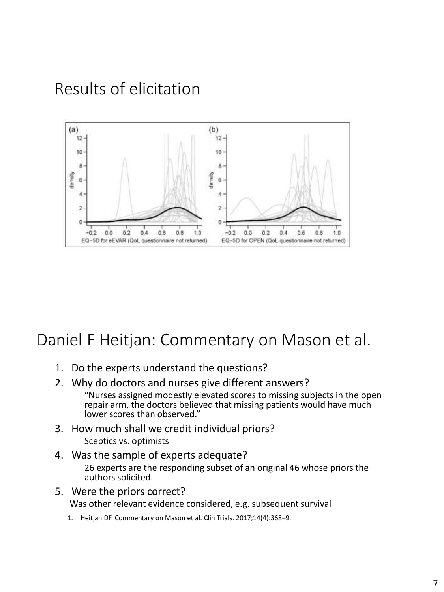# Results of elicitation



# Daniel F Heitjan: Commentary on Mason et al.

- 1. Do the experts understand the questions?
- 2. Why do doctors and nurses give different answers? "Nurses assigned modestly elevated scores to missing subjects in the open repair arm, the doctors believed that missing patients would have much lower scores than observed."
- 3. How much shall we credit individual priors? Sceptics vs. optimists
- 4. Was the sample of experts adequate?

26 experts are the responding subset of an original 46 whose priors the authors solicited.

5. Were the priors correct? Was other relevant evidence considered, e.g. subsequent survival

1. Heitjan DF. Commentary on Mason et al. Clin Trials. 2017;14(4):368–9.

7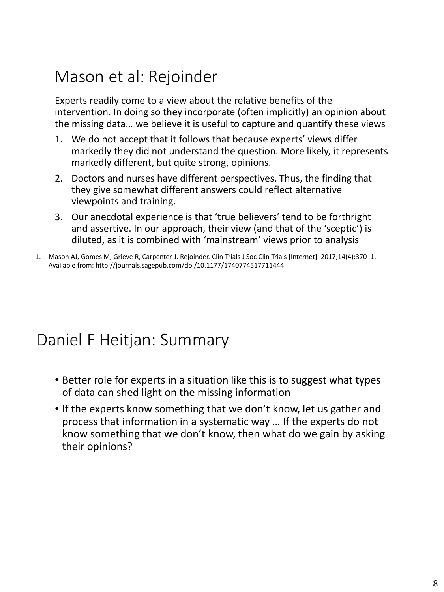# Mason et al: Rejoinder

Experts readily come to a view about the relative benefits of the intervention. In doing so they incorporate (often implicitly) an opinion about the missing data… we believe it is useful to capture and quantify these views

- 1. We do not accept that it follows that because experts' views differ markedly they did not understand the question. More likely, it represents markedly different, but quite strong, opinions.
- 2. Doctors and nurses have different perspectives. Thus, the finding that they give somewhat different answers could reflect alternative viewpoints and training.
- 3. Our anecdotal experience is that 'true believers' tend to be forthright and assertive. In our approach, their view (and that of the 'sceptic') is diluted, as it is combined with 'mainstream' views prior to analysis
- 1. Mason AJ, Gomes M, Grieve R, Carpenter J. Rejoinder. Clin Trials J Soc Clin Trials [Internet]. 2017;14(4):370–1. Available from: http://journals.sagepub.com/doi/10.1177/1740774517711444

# Daniel F Heitjan: Summary

- Better role for experts in a situation like this is to suggest what types of data can shed light on the missing information
- If the experts know something that we don't know, let us gather and process that information in a systematic way … If the experts do not know something that we don't know, then what do we gain by asking their opinions?